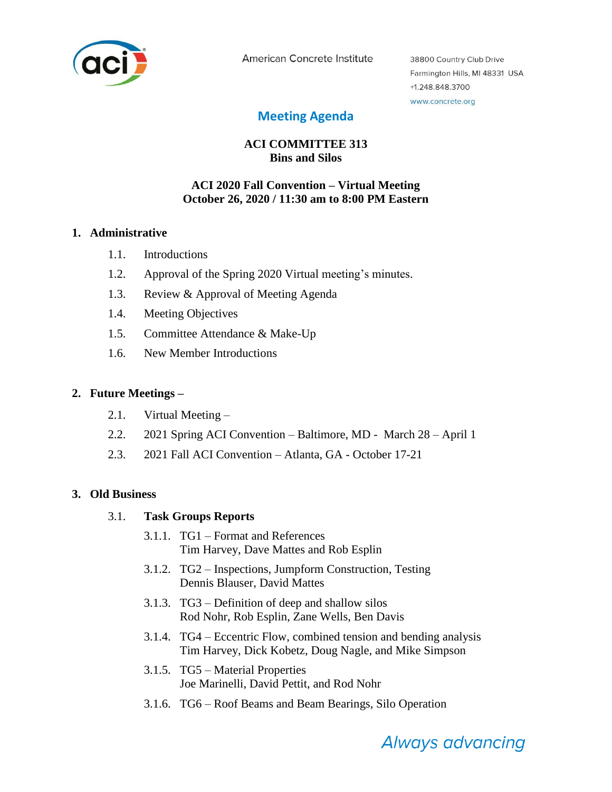

American Concrete Institute

38800 Country Club Drive Farmington Hills, MI 48331 USA +1.248.848.3700 www.concrete.org

# **Meeting Agenda**

# **ACI COMMITTEE 313 Bins and Silos**

## **ACI 2020 Fall Convention – Virtual Meeting October 26, 2020 / 11:30 am to 8:00 PM Eastern**

#### **1. Administrative**

- 1.1. Introductions
- 1.2. Approval of the Spring 2020 Virtual meeting's minutes.
- 1.3. Review & Approval of Meeting Agenda
- 1.4. Meeting Objectives
- 1.5. Committee Attendance & Make-Up
- 1.6. New Member Introductions

### **2. Future Meetings –**

- 2.1. Virtual Meeting –
- 2.2. 2021 Spring ACI Convention Baltimore, MD March 28 April 1
- 2.3. 2021 Fall ACI Convention Atlanta, GA October 17-21

### **3. Old Business**

### 3.1. **Task Groups Reports**

- 3.1.1. TG1 Format and References Tim Harvey, Dave Mattes and Rob Esplin
- 3.1.2. TG2 Inspections, Jumpform Construction, Testing Dennis Blauser, David Mattes
- 3.1.3. TG3 Definition of deep and shallow silos Rod Nohr, Rob Esplin, Zane Wells, Ben Davis
- 3.1.4. TG4 Eccentric Flow, combined tension and bending analysis Tim Harvey, Dick Kobetz, Doug Nagle, and Mike Simpson
- 3.1.5. TG5 Material Properties Joe Marinelli, David Pettit, and Rod Nohr
- 3.1.6. TG6 Roof Beams and Beam Bearings, Silo Operation